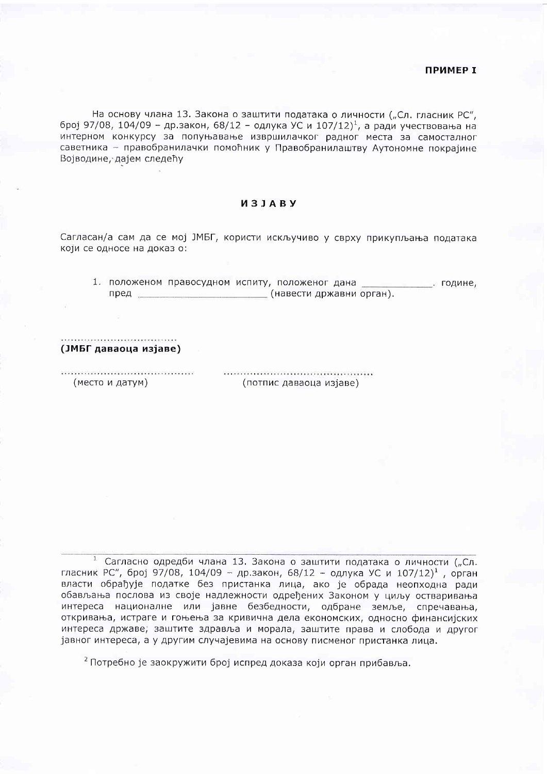## ПРИМЕР І

На основу члана 13. Закона о заштити података о личности ("Сл. гласник РС", број 97/08, 104/09 - др.закон, 68/12 - одлука УС и 107/12)<sup>1</sup>, а ради учествовања на интерном конкурсу за попуњавање извршилачког радног места за самосталног саветника - правобранилачки помоћник у Правобранилаштву Аутономне покрајине Војводине, дајем следећу

## *M* 3 J A B Y

Сагласан/а сам да се мој ЈМБГ, користи искључиво у сврху прикупљања података који се односе на доказ о:

1. положеном правосудном испиту, положеног дана и године, пред Пред Совета (навести државни орган).

(ЈМБГ даваоца изјаве)

(место и датум)

(потпис даваоца изјаве)

 $\mathbf{1}$ Сагласно одредби члана 13. Закона о заштити података о личности ("Сл. гласник РС", број 97/08, 104/09 - др.закон, 68/12 - одлука УС и 107/12)<sup>1</sup>, орган власти обрађује податке без пристанка лица, ако је обрада неопходна ради обављања послова из своје надлежности одређених Законом у циљу остваривања интереса националне или јавне безбедности, одбране земље, спречавања, откривања, истраге и гоњења за кривична дела економских, односно финансијских интереса државе, заштите здравља и морала, заштите права и слобода и другог јавног интереса, а у другим случајевима на основу писменог пристанка лица.

<sup>2</sup> Потребно је заокружити број испред доказа који орган прибавља.